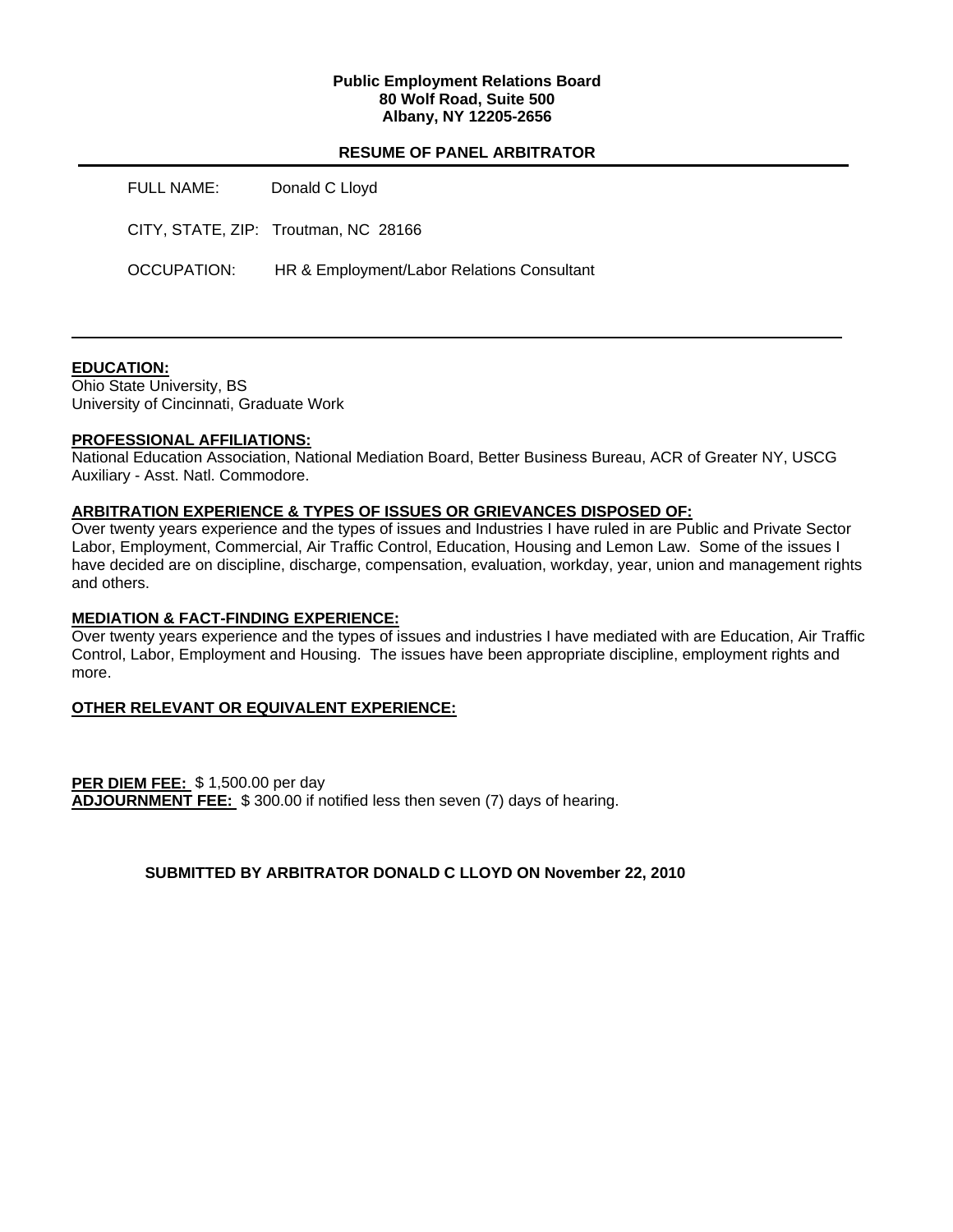### **Public Employment Relations Board 80 Wolf Road, Suite 500 Albany, NY 12205-2656**

## **RESUME OF PANEL ARBITRATOR**

| FULL NAME:  | Donald C Lloyd                             |
|-------------|--------------------------------------------|
|             | CITY, STATE, ZIP: Troutman, NC 28166       |
| OCCUPATION: | HR & Employment/Labor Relations Consultant |

## **EDUCATION:**

Ohio State University, BS University of Cincinnati, Graduate Work

### **PROFESSIONAL AFFILIATIONS:**

National Education Association, National Mediation Board, Better Business Bureau, ACR of Greater NY, USCG Auxiliary - Asst. Natl. Commodore.

#### **ARBITRATION EXPERIENCE & TYPES OF ISSUES OR GRIEVANCES DISPOSED OF:**

Over twenty years experience and the types of issues and Industries I have ruled in are Public and Private Sector Labor, Employment, Commercial, Air Traffic Control, Education, Housing and Lemon Law. Some of the issues I have decided are on discipline, discharge, compensation, evaluation, workday, year, union and management rights and others.

#### **MEDIATION & FACT-FINDING EXPERIENCE:**

Over twenty years experience and the types of issues and industries I have mediated with are Education, Air Traffic Control, Labor, Employment and Housing. The issues have been appropriate discipline, employment rights and more.

## **OTHER RELEVANT OR EQUIVALENT EXPERIENCE:**

**PER DIEM FEE:** \$ 1,500.00 per day **ADJOURNMENT FEE:** \$ 300.00 if notified less then seven (7) days of hearing.

# **SUBMITTED BY ARBITRATOR DONALD C LLOYD ON November 22, 2010**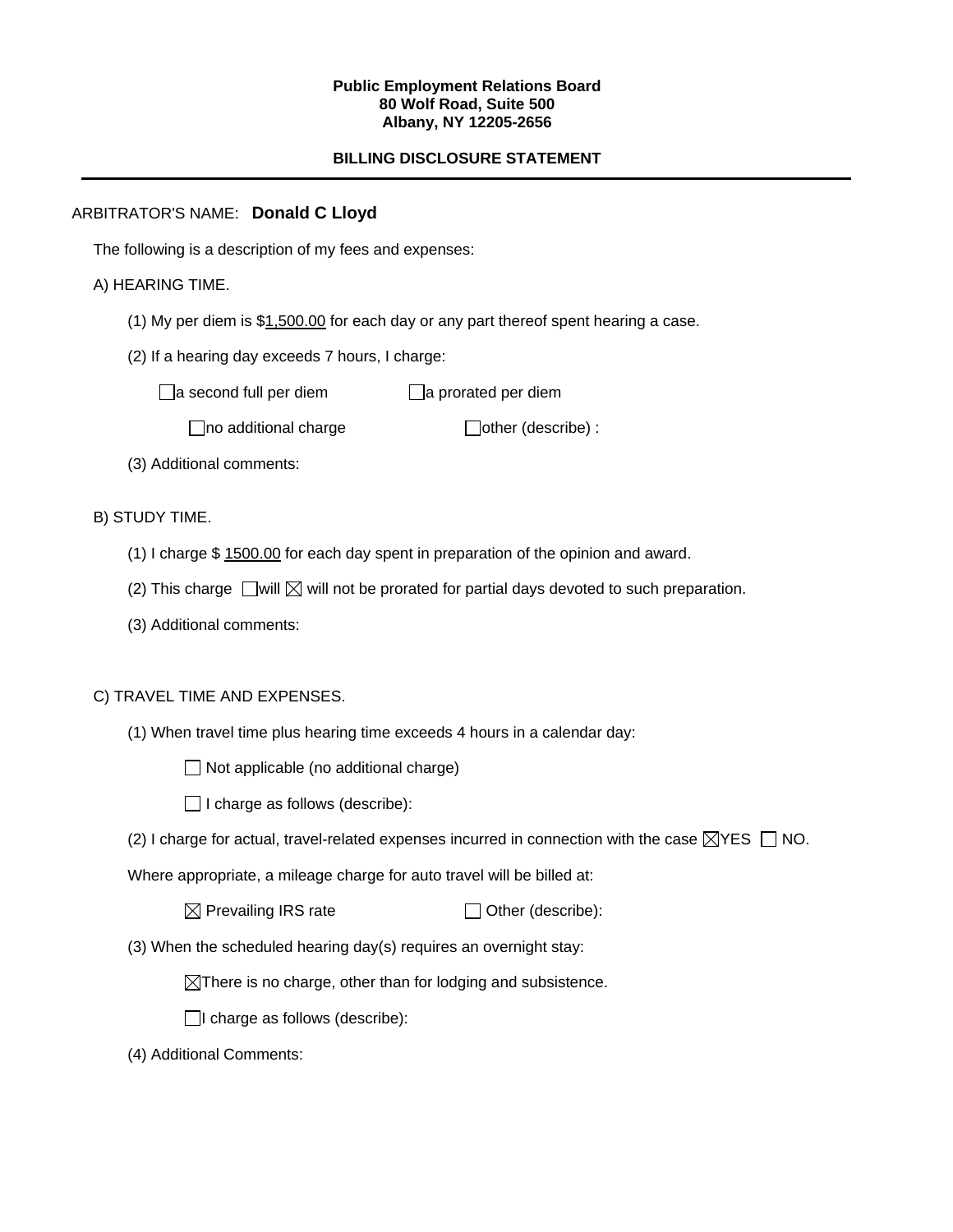### **Public Employment Relations Board 80 Wolf Road, Suite 500 Albany, NY 12205-2656**

# **BILLING DISCLOSURE STATEMENT**

## ARBITRATOR'S NAME: **Donald C Lloyd**

The following is a description of my fees and expenses:

## A) HEARING TIME.

- (1) My per diem is \$1,500.00 for each day or any part thereof spent hearing a case.
- (2) If a hearing day exceeds 7 hours, I charge:

 $\Box$ a second full per diem  $\Box$ a prorated per diem

 $\Box$ no additional charge  $\Box$ other (describe) :

(3) Additional comments:

B) STUDY TIME.

- (1) I charge \$ 1500.00 for each day spent in preparation of the opinion and award.
- (2) This charge  $\Box$  will  $\boxtimes$  will not be prorated for partial days devoted to such preparation.
- (3) Additional comments:

## C) TRAVEL TIME AND EXPENSES.

- (1) When travel time plus hearing time exceeds 4 hours in a calendar day:
	- $\Box$  Not applicable (no additional charge)
	- $\Box$  I charge as follows (describe):
- (2) I charge for actual, travel-related expenses incurred in connection with the case  $\boxtimes$ YES  $\Box$  NO.

Where appropriate, a mileage charge for auto travel will be billed at:

 $\boxtimes$  Prevailing IRS rate  $\Box$  Other (describe):

(3) When the scheduled hearing day(s) requires an overnight stay:

 $\boxtimes$ There is no charge, other than for lodging and subsistence.

 $\Box$ I charge as follows (describe):

(4) Additional Comments: